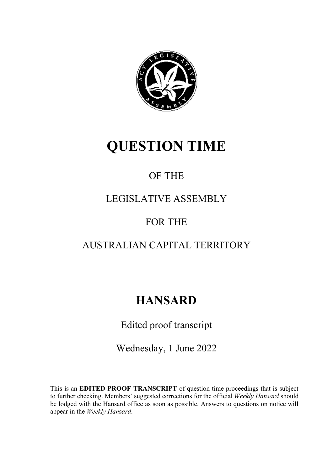

# **QUESTION TIME**

## OF THE

### LEGISLATIVE ASSEMBLY

### FOR THE

### AUSTRALIAN CAPITAL TERRITORY

# **HANSARD**

Edited proof transcript

Wednesday, 1 June 2022

This is an **EDITED PROOF TRANSCRIPT** of question time proceedings that is subject to further checking. Members' suggested corrections for the official *Weekly Hansard* should be lodged with the Hansard office as soon as possible. Answers to questions on notice will appear in the *Weekly Han*s*ard*.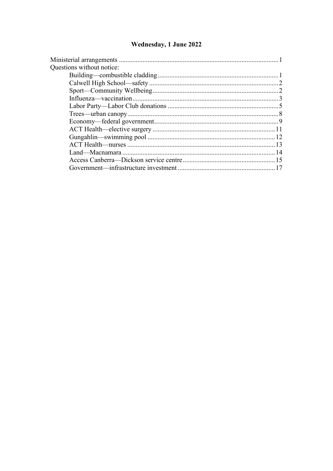### Wednesday, 1 June 2022

| Questions without notice: |  |
|---------------------------|--|
|                           |  |
|                           |  |
|                           |  |
|                           |  |
|                           |  |
|                           |  |
|                           |  |
|                           |  |
|                           |  |
|                           |  |
|                           |  |
|                           |  |
|                           |  |
|                           |  |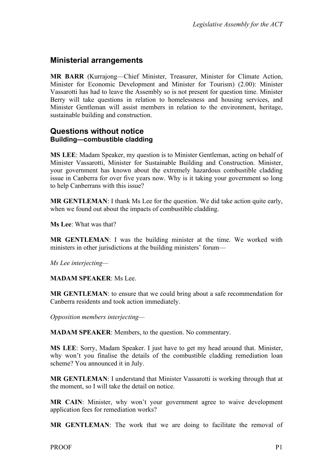### <span id="page-2-0"></span>**Ministerial arrangements**

**MR BARR** (Kurrajong—Chief Minister, Treasurer, Minister for Climate Action, Minister for Economic Development and Minister for Tourism) (2.00): Minister Vassarotti has had to leave the Assembly so is not present for question time. Minister Berry will take questions in relation to homelessness and housing services, and Minister Gentleman will assist members in relation to the environment, heritage, sustainable building and construction.

#### <span id="page-2-2"></span><span id="page-2-1"></span>**Questions without notice Building—combustible cladding**

**MS LEE**: Madam Speaker, my question is to Minister Gentleman, acting on behalf of Minister Vassarotti, Minister for Sustainable Building and Construction. Minister, your government has known about the extremely hazardous combustible cladding issue in Canberra for over five years now. Why is it taking your government so long to help Canberrans with this issue?

**MR GENTLEMAN**: I thank Ms Lee for the question. We did take action quite early, when we found out about the impacts of combustible cladding.

**Ms Lee**: What was that?

**MR GENTLEMAN**: I was the building minister at the time. We worked with ministers in other jurisdictions at the building ministers' forum—

*Ms Lee interjecting—*

**MADAM SPEAKER**: Ms Lee.

**MR GENTLEMAN**: to ensure that we could bring about a safe recommendation for Canberra residents and took action immediately.

*Opposition members interjecting—*

**MADAM SPEAKER**: Members, to the question. No commentary.

**MS LEE**: Sorry, Madam Speaker. I just have to get my head around that. Minister, why won't you finalise the details of the combustible cladding remediation loan scheme? You announced it in July.

**MR GENTLEMAN**: I understand that Minister Vassarotti is working through that at the moment, so I will take the detail on notice.

**MR CAIN**: Minister, why won't your government agree to waive development application fees for remediation works?

**MR GENTLEMAN**: The work that we are doing to facilitate the removal of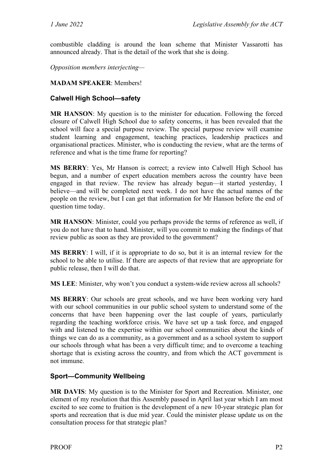combustible cladding is around the loan scheme that Minister Vassarotti has announced already. That is the detail of the work that she is doing.

*Opposition members interjecting—*

#### **MADAM SPEAKER**: Members!

#### <span id="page-3-0"></span>**Calwell High School—safety**

**MR HANSON**: My question is to the minister for education. Following the forced closure of Calwell High School due to safety concerns, it has been revealed that the school will face a special purpose review. The special purpose review will examine student learning and engagement, teaching practices, leadership practices and organisational practices. Minister, who is conducting the review, what are the terms of reference and what is the time frame for reporting?

**MS BERRY**: Yes, Mr Hanson is correct; a review into Calwell High School has begun, and a number of expert education members across the country have been engaged in that review. The review has already begun—it started yesterday, I believe—and will be completed next week. I do not have the actual names of the people on the review, but I can get that information for Mr Hanson before the end of question time today.

**MR HANSON**: Minister, could you perhaps provide the terms of reference as well, if you do not have that to hand. Minister, will you commit to making the findings of that review public as soon as they are provided to the government?

**MS BERRY**: I will, if it is appropriate to do so, but it is an internal review for the school to be able to utilise. If there are aspects of that review that are appropriate for public release, then I will do that.

**MS LEE**: Minister, why won't you conduct a system-wide review across all schools?

**MS BERRY**: Our schools are great schools, and we have been working very hard with our school communities in our public school system to understand some of the concerns that have been happening over the last couple of years, particularly regarding the teaching workforce crisis. We have set up a task force, and engaged with and listened to the expertise within our school communities about the kinds of things we can do as a community, as a government and as a school system to support our schools through what has been a very difficult time; and to overcome a teaching shortage that is existing across the country, and from which the ACT government is not immune.

#### <span id="page-3-1"></span>**Sport—Community Wellbeing**

**MR DAVIS**: My question is to the Minister for Sport and Recreation. Minister, one element of my resolution that this Assembly passed in April last year which I am most excited to see come to fruition is the development of a new 10-year strategic plan for sports and recreation that is due mid year. Could the minister please update us on the consultation process for that strategic plan?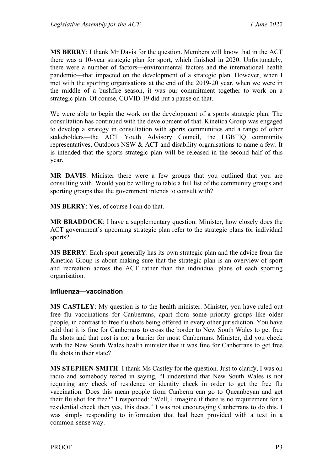**MS BERRY**: I thank Mr Davis for the question. Members will know that in the ACT there was a 10-year strategic plan for sport, which finished in 2020. Unfortunately, there were a number of factors—environmental factors and the international health pandemic—that impacted on the development of a strategic plan. However, when I met with the sporting organisations at the end of the 2019-20 year, when we were in the middle of a bushfire season, it was our commitment together to work on a strategic plan. Of course, COVID-19 did put a pause on that.

We were able to begin the work on the development of a sports strategic plan. The consultation has continued with the development of that. Kinetica Group was engaged to develop a strategy in consultation with sports communities and a range of other stakeholders—the ACT Youth Advisory Council, the LGBTIQ community representatives, Outdoors NSW & ACT and disability organisations to name a few. It is intended that the sports strategic plan will be released in the second half of this year.

**MR DAVIS**: Minister there were a few groups that you outlined that you are consulting with. Would you be willing to table a full list of the community groups and sporting groups that the government intends to consult with?

**MS BERRY**: Yes, of course I can do that.

**MR BRADDOCK**: I have a supplementary question. Minister, how closely does the ACT government's upcoming strategic plan refer to the strategic plans for individual sports?

**MS BERRY**: Each sport generally has its own strategic plan and the advice from the Kinetica Group is about making sure that the strategic plan is an overview of sport and recreation across the ACT rather than the individual plans of each sporting organisation.

#### <span id="page-4-0"></span>**Influenza—vaccination**

**MS CASTLEY**: My question is to the health minister. Minister, you have ruled out free flu vaccinations for Canberrans, apart from some priority groups like older people, in contrast to free flu shots being offered in every other jurisdiction. You have said that it is fine for Canberrans to cross the border to New South Wales to get free flu shots and that cost is not a barrier for most Canberrans. Minister, did you check with the New South Wales health minister that it was fine for Canberrans to get free flu shots in their state?

**MS STEPHEN-SMITH**: I thank Ms Castley for the question. Just to clarify, I was on radio and somebody texted in saying, "I understand that New South Wales is not requiring any check of residence or identity check in order to get the free flu vaccination. Does this mean people from Canberra can go to Queanbeyan and get their flu shot for free?" I responded: "Well, I imagine if there is no requirement for a residential check then yes, this does." I was not encouraging Canberrans to do this. I was simply responding to information that had been provided with a text in a common-sense way.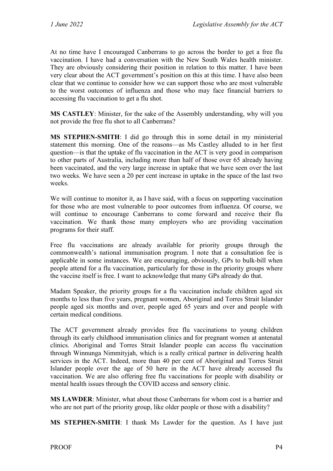At no time have I encouraged Canberrans to go across the border to get a free flu vaccination. I have had a conversation with the New South Wales health minister. They are obviously considering their position in relation to this matter. I have been very clear about the ACT government's position on this at this time. I have also been clear that we continue to consider how we can support those who are most vulnerable to the worst outcomes of influenza and those who may face financial barriers to accessing flu vaccination to get a flu shot.

**MS CASTLEY**: Minister, for the sake of the Assembly understanding, why will you not provide the free flu shot to all Canberrans?

**MS STEPHEN-SMITH**: I did go through this in some detail in my ministerial statement this morning. One of the reasons—as Ms Castley alluded to in her first question—is that the uptake of flu vaccination in the ACT is very good in comparison to other parts of Australia, including more than half of those over 65 already having been vaccinated, and the very large increase in uptake that we have seen over the last two weeks. We have seen a 20 per cent increase in uptake in the space of the last two weeks.

We will continue to monitor it, as I have said, with a focus on supporting vaccination for those who are most vulnerable to poor outcomes from influenza. Of course, we will continue to encourage Canberrans to come forward and receive their flu vaccination. We thank those many employers who are providing vaccination programs for their staff.

Free flu vaccinations are already available for priority groups through the commonwealth's national immunisation program. I note that a consultation fee is applicable in some instances. We are encouraging, obviously, GPs to bulk-bill when people attend for a flu vaccination, particularly for those in the priority groups where the vaccine itself is free. I want to acknowledge that many GPs already do that.

Madam Speaker, the priority groups for a flu vaccination include children aged six months to less than five years, pregnant women, Aboriginal and Torres Strait Islander people aged six months and over, people aged 65 years and over and people with certain medical conditions.

The ACT government already provides free flu vaccinations to young children through its early childhood immunisation clinics and for pregnant women at antenatal clinics. Aboriginal and Torres Strait Islander people can access flu vaccination through Winnunga Nimmityjah, which is a really critical partner in delivering health services in the ACT. Indeed, more than 40 per cent of Aboriginal and Torres Strait Islander people over the age of 50 here in the ACT have already accessed flu vaccination. We are also offering free flu vaccinations for people with disability or mental health issues through the COVID access and sensory clinic.

**MS LAWDER**: Minister, what about those Canberrans for whom cost is a barrier and who are not part of the priority group, like older people or those with a disability?

**MS STEPHEN-SMITH**: I thank Ms Lawder for the question. As I have just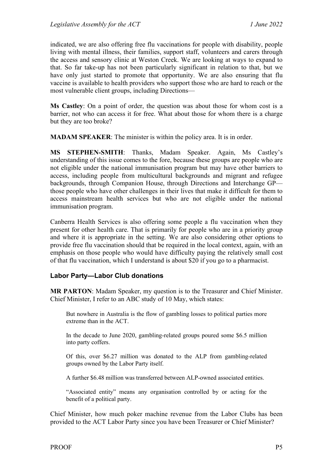indicated, we are also offering free flu vaccinations for people with disability, people living with mental illness, their families, support staff, volunteers and carers through the access and sensory clinic at Weston Creek. We are looking at ways to expand to that. So far take-up has not been particularly significant in relation to that, but we have only just started to promote that opportunity. We are also ensuring that flu vaccine is available to health providers who support those who are hard to reach or the most vulnerable client groups, including Directions—

**Ms Castley**: On a point of order, the question was about those for whom cost is a barrier, not who can access it for free. What about those for whom there is a charge but they are too broke?

**MADAM SPEAKER**: The minister is within the policy area. It is in order.

**MS STEPHEN-SMITH**: Thanks, Madam Speaker. Again, Ms Castley's understanding of this issue comes to the fore, because these groups are people who are not eligible under the national immunisation program but may have other barriers to access, including people from multicultural backgrounds and migrant and refugee backgrounds, through Companion House, through Directions and Interchange GP those people who have other challenges in their lives that make it difficult for them to access mainstream health services but who are not eligible under the national immunisation program.

Canberra Health Services is also offering some people a flu vaccination when they present for other health care. That is primarily for people who are in a priority group and where it is appropriate in the setting. We are also considering other options to provide free flu vaccination should that be required in the local context, again, with an emphasis on those people who would have difficulty paying the relatively small cost of that flu vaccination, which I understand is about \$20 if you go to a pharmacist.

#### <span id="page-6-0"></span>**Labor Party—Labor Club donations**

**MR PARTON**: Madam Speaker, my question is to the Treasurer and Chief Minister. Chief Minister, I refer to an ABC study of 10 May, which states:

But nowhere in Australia is the flow of gambling losses to political parties more extreme than in the ACT.

In the decade to June 2020, gambling-related groups poured some \$6.5 million into party coffers.

Of this, over \$6.27 million was donated to the ALP from gambling-related groups owned by the Labor Party itself.

A further \$6.48 million was transferred between ALP-owned associated entities.

"Associated entity" means any organisation controlled by or acting for the benefit of a political party.

Chief Minister, how much poker machine revenue from the Labor Clubs has been provided to the ACT Labor Party since you have been Treasurer or Chief Minister?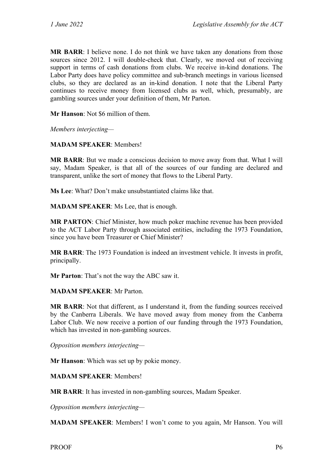**MR BARR**: I believe none. I do not think we have taken any donations from those sources since 2012. I will double-check that. Clearly, we moved out of receiving support in terms of cash donations from clubs. We receive in-kind donations. The Labor Party does have policy committee and sub-branch meetings in various licensed clubs, so they are declared as an in-kind donation. I note that the Liberal Party continues to receive money from licensed clubs as well, which, presumably, are gambling sources under your definition of them, Mr Parton.

**Mr Hanson**: Not \$6 million of them.

*Members interjecting—*

**MADAM SPEAKER**: Members!

**MR BARR**: But we made a conscious decision to move away from that. What I will say, Madam Speaker, is that all of the sources of our funding are declared and transparent, unlike the sort of money that flows to the Liberal Party.

**Ms Lee**: What? Don't make unsubstantiated claims like that.

**MADAM SPEAKER**: Ms Lee, that is enough.

**MR PARTON**: Chief Minister, how much poker machine revenue has been provided to the ACT Labor Party through associated entities, including the 1973 Foundation, since you have been Treasurer or Chief Minister?

**MR BARR**: The 1973 Foundation is indeed an investment vehicle. It invests in profit, principally.

**Mr Parton**: That's not the way the ABC saw it.

#### **MADAM SPEAKER**: Mr Parton.

**MR BARR**: Not that different, as I understand it, from the funding sources received by the Canberra Liberals. We have moved away from money from the Canberra Labor Club. We now receive a portion of our funding through the 1973 Foundation, which has invested in non-gambling sources.

*Opposition members interjecting—*

**Mr Hanson**: Which was set up by pokie money.

**MADAM SPEAKER**: Members!

**MR BARR**: It has invested in non-gambling sources, Madam Speaker.

*Opposition members interjecting—*

**MADAM SPEAKER**: Members! I won't come to you again, Mr Hanson. You will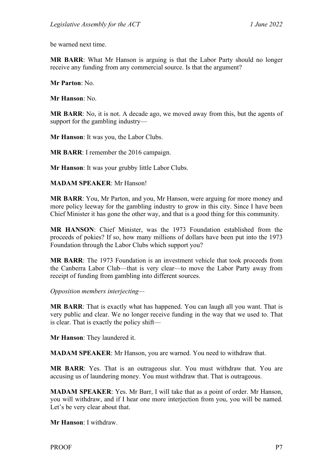be warned next time.

**MR BARR**: What Mr Hanson is arguing is that the Labor Party should no longer receive any funding from any commercial source. Is that the argument?

**Mr Parton**: No.

**Mr Hanson**: No.

**MR BARR**: No, it is not. A decade ago, we moved away from this, but the agents of support for the gambling industry—

**Mr Hanson**: It was you, the Labor Clubs.

**MR BARR**: I remember the 2016 campaign.

**Mr Hanson**: It was your grubby little Labor Clubs.

**MADAM SPEAKER**: Mr Hanson!

**MR BARR**: You, Mr Parton, and you, Mr Hanson, were arguing for more money and more policy leeway for the gambling industry to grow in this city. Since I have been Chief Minister it has gone the other way, and that is a good thing for this community.

**MR HANSON**: Chief Minister, was the 1973 Foundation established from the proceeds of pokies? If so, how many millions of dollars have been put into the 1973 Foundation through the Labor Clubs which support you?

**MR BARR**: The 1973 Foundation is an investment vehicle that took proceeds from the Canberra Labor Club—that is very clear—to move the Labor Party away from receipt of funding from gambling into different sources.

*Opposition members interjecting—*

**MR BARR**: That is exactly what has happened. You can laugh all you want. That is very public and clear. We no longer receive funding in the way that we used to. That is clear. That is exactly the policy shift—

**Mr Hanson**: They laundered it.

**MADAM SPEAKER**: Mr Hanson, you are warned. You need to withdraw that.

**MR BARR**: Yes. That is an outrageous slur. You must withdraw that. You are accusing us of laundering money. You must withdraw that. That is outrageous.

**MADAM SPEAKER**: Yes. Mr Barr, I will take that as a point of order. Mr Hanson, you will withdraw, and if I hear one more interjection from you, you will be named. Let's be very clear about that.

**Mr Hanson**: I withdraw.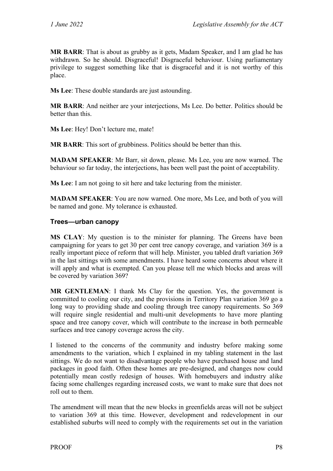**MR BARR**: That is about as grubby as it gets, Madam Speaker, and I am glad he has withdrawn. So he should. Disgraceful! Disgraceful behaviour. Using parliamentary privilege to suggest something like that is disgraceful and it is not worthy of this place.

**Ms Lee**: These double standards are just astounding.

**MR BARR**: And neither are your interjections, Ms Lee. Do better. Politics should be better than this.

**Ms Lee**: Hey! Don't lecture me, mate!

**MR BARR**: This sort of grubbiness. Politics should be better than this.

**MADAM SPEAKER**: Mr Barr, sit down, please. Ms Lee, you are now warned. The behaviour so far today, the interjections, has been well past the point of acceptability.

**Ms Lee**: I am not going to sit here and take lecturing from the minister.

**MADAM SPEAKER**: You are now warned. One more, Ms Lee, and both of you will be named and gone. My tolerance is exhausted.

#### <span id="page-9-0"></span>**Trees—urban canopy**

**MS CLAY**: My question is to the minister for planning. The Greens have been campaigning for years to get 30 per cent tree canopy coverage, and variation 369 is a really important piece of reform that will help. Minister, you tabled draft variation 369 in the last sittings with some amendments. I have heard some concerns about where it will apply and what is exempted. Can you please tell me which blocks and areas will be covered by variation 369?

**MR GENTLEMAN**: I thank Ms Clay for the question. Yes, the government is committed to cooling our city, and the provisions in Territory Plan variation 369 go a long way to providing shade and cooling through tree canopy requirements. So 369 will require single residential and multi-unit developments to have more planting space and tree canopy cover, which will contribute to the increase in both permeable surfaces and tree canopy coverage across the city.

I listened to the concerns of the community and industry before making some amendments to the variation, which I explained in my tabling statement in the last sittings. We do not want to disadvantage people who have purchased house and land packages in good faith. Often these homes are pre-designed, and changes now could potentially mean costly redesign of houses. With homebuyers and industry alike facing some challenges regarding increased costs, we want to make sure that does not roll out to them.

The amendment will mean that the new blocks in greenfields areas will not be subject to variation 369 at this time. However, development and redevelopment in our established suburbs will need to comply with the requirements set out in the variation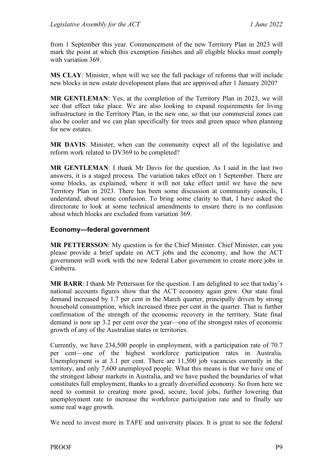from 1 September this year. Commencement of the new Territory Plan in 2023 will mark the point at which this exemption finishes and all eligible blocks must comply with variation 369.

**MS CLAY**: Minister, when will we see the full package of reforms that will include new blocks in new estate development plans that are approved after 1 January 2020?

**MR GENTLEMAN**: Yes, at the completion of the Territory Plan in 2023, we will see that effect take place. We are also looking to expand requirements for living infrastructure in the Territory Plan, in the new one, so that our commercial zones can also be cooler and we can plan specifically for trees and green space when planning for new estates.

**MR DAVIS**: Minister, when can the community expect all of the legislative and reform work related to DV369 to be completed?

**MR GENTLEMAN**: I thank Mr Davis for the question. As I said in the last two answers, it is a staged process. The variation takes effect on 1 September. There are some blocks, as explained, where it will not take effect until we have the new Territory Plan in 2023. There has been some discussion at community councils, I understand, about some confusion. To bring some clarity to that, I have asked the directorate to look at some technical amendments to ensure there is no confusion about which blocks are excluded from variation 369.

#### <span id="page-10-0"></span>**Economy—federal government**

**MR PETTERSSON**: My question is for the Chief Minister. Chief Minister, can you please provide a brief update on ACT jobs and the economy, and how the ACT government will work with the new federal Labor government to create more jobs in Canberra.

**MR BARR**: I thank Mr Pettersson for the question. I am delighted to see that today's national accounts figures show that the ACT economy again grew. Our state final demand increased by 1.7 per cent in the March quarter, principally driven by strong household consumption, which increased three per cent in the quarter. That is further confirmation of the strength of the economic recovery in the territory. State final demand is now up 3.2 per cent over the year—one of the strongest rates of economic growth of any of the Australian states or territories.

Currently, we have 234,500 people in employment, with a participation rate of 70.7 per cent—one of the highest workforce participation rates in Australia. Unemployment is at 3.1 per cent. There are 11,500 job vacancies currently in the territory, and only 7,600 unemployed people. What this means is that we have one of the strongest labour markets in Australia, and we have pushed the boundaries of what constitutes full employment, thanks to a greatly diversified economy. So from here we need to commit to creating more good, secure, local jobs, further lowering that unemployment rate to increase the workforce participation rate and to finally see some real wage growth.

We need to invest more in TAFE and university places. It is great to see the federal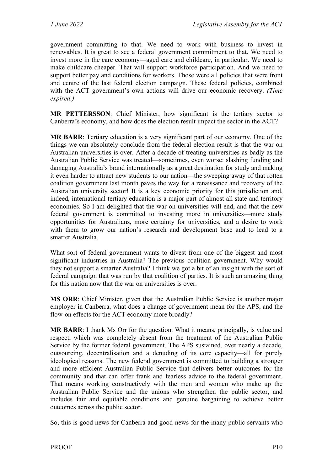government committing to that. We need to work with business to invest in renewables. It is great to see a federal government commitment to that. We need to invest more in the care economy—aged care and childcare, in particular. We need to make childcare cheaper. That will support workforce participation. And we need to support better pay and conditions for workers. Those were all policies that were front and centre of the last federal election campaign. These federal policies, combined with the ACT government's own actions will drive our economic recovery. *(Time expired.)*

**MR PETTERSSON**: Chief Minister, how significant is the tertiary sector to Canberra's economy, and how does the election result impact the sector in the ACT?

**MR BARR**: Tertiary education is a very significant part of our economy. One of the things we can absolutely conclude from the federal election result is that the war on Australian universities is over. After a decade of treating universities as badly as the Australian Public Service was treated—sometimes, even worse: slashing funding and damaging Australia's brand internationally as a great destination for study and making it even harder to attract new students to our nation—the sweeping away of that rotten coalition government last month paves the way for a renaissance and recovery of the Australian university sector! It is a key economic priority for this jurisdiction and, indeed, international tertiary education is a major part of almost all state and territory economies. So I am delighted that the war on universities will end, and that the new federal government is committed to investing more in universities—more study opportunities for Australians, more certainty for universities, and a desire to work with them to grow our nation's research and development base and to lead to a smarter Australia.

What sort of federal government wants to divest from one of the biggest and most significant industries in Australia? The previous coalition government. Why would they not support a smarter Australia? I think we got a bit of an insight with the sort of federal campaign that was run by that coalition of parties. It is such an amazing thing for this nation now that the war on universities is over.

**MS ORR**: Chief Minister, given that the Australian Public Service is another major employer in Canberra, what does a change of government mean for the APS, and the flow-on effects for the ACT economy more broadly?

**MR BARR**: I thank Ms Orr for the question. What it means, principally, is value and respect, which was completely absent from the treatment of the Australian Public Service by the former federal government. The APS sustained, over nearly a decade, outsourcing, decentralisation and a denuding of its core capacity—all for purely ideological reasons. The new federal government is committed to building a stronger and more efficient Australian Public Service that delivers better outcomes for the community and that can offer frank and fearless advice to the federal government. That means working constructively with the men and women who make up the Australian Public Service and the unions who strengthen the public sector, and includes fair and equitable conditions and genuine bargaining to achieve better outcomes across the public sector.

So, this is good news for Canberra and good news for the many public servants who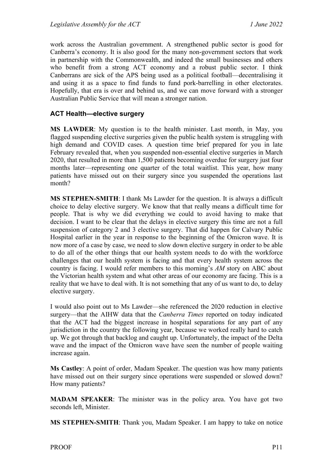work across the Australian government. A strengthened public sector is good for Canberra's economy. It is also good for the many non-government sectors that work in partnership with the Commonwealth, and indeed the small businesses and others who benefit from a strong ACT economy and a robust public sector. I think Canberrans are sick of the APS being used as a political football—decentralising it and using it as a space to find funds to fund pork-barrelling in other electorates. Hopefully, that era is over and behind us, and we can move forward with a stronger Australian Public Service that will mean a stronger nation.

#### <span id="page-12-0"></span>**ACT Health—elective surgery**

**MS LAWDER**: My question is to the health minister. Last month, in May, you flagged suspending elective surgeries given the public health system is struggling with high demand and COVID cases. A question time brief prepared for you in late February revealed that, when you suspended non-essential elective surgeries in March 2020, that resulted in more than 1,500 patients becoming overdue for surgery just four months later—representing one quarter of the total waitlist. This year, how many patients have missed out on their surgery since you suspended the operations last month?

**MS STEPHEN-SMITH**: I thank Ms Lawder for the question. It is always a difficult choice to delay elective surgery. We know that that really means a difficult time for people. That is why we did everything we could to avoid having to make that decision. I want to be clear that the delays in elective surgery this time are not a full suspension of category 2 and 3 elective surgery. That did happen for Calvary Public Hospital earlier in the year in response to the beginning of the Omicron wave. It is now more of a case by case, we need to slow down elective surgery in order to be able to do all of the other things that our health system needs to do with the workforce challenges that our health system is facing and that every health system across the country is facing. I would refer members to this morning's *AM* story on ABC about the Victorian health system and what other areas of our economy are facing. This is a reality that we have to deal with. It is not something that any of us want to do, to delay elective surgery.

I would also point out to Ms Lawder—she referenced the 2020 reduction in elective surgery—that the AIHW data that the *Canberra Times* reported on today indicated that the ACT had the biggest increase in hospital separations for any part of any jurisdiction in the country the following year, because we worked really hard to catch up. We got through that backlog and caught up. Unfortunately, the impact of the Delta wave and the impact of the Omicron wave have seen the number of people waiting increase again.

**Ms Castley**: A point of order, Madam Speaker. The question was how many patients have missed out on their surgery since operations were suspended or slowed down? How many patients?

**MADAM SPEAKER**: The minister was in the policy area. You have got two seconds left, Minister.

**MS STEPHEN-SMITH**: Thank you, Madam Speaker. I am happy to take on notice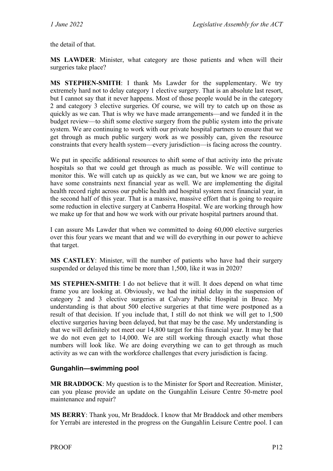the detail of that.

**MS LAWDER**: Minister, what category are those patients and when will their surgeries take place?

**MS STEPHEN-SMITH**: I thank Ms Lawder for the supplementary. We try extremely hard not to delay category 1 elective surgery. That is an absolute last resort, but I cannot say that it never happens. Most of those people would be in the category 2 and category 3 elective surgeries. Of course, we will try to catch up on those as quickly as we can. That is why we have made arrangements—and we funded it in the budget review—to shift some elective surgery from the public system into the private system. We are continuing to work with our private hospital partners to ensure that we get through as much public surgery work as we possibly can, given the resource constraints that every health system—every jurisdiction—is facing across the country.

We put in specific additional resources to shift some of that activity into the private hospitals so that we could get through as much as possible. We will continue to monitor this. We will catch up as quickly as we can, but we know we are going to have some constraints next financial year as well. We are implementing the digital health record right across our public health and hospital system next financial year, in the second half of this year. That is a massive, massive effort that is going to require some reduction in elective surgery at Canberra Hospital. We are working through how we make up for that and how we work with our private hospital partners around that.

I can assure Ms Lawder that when we committed to doing 60,000 elective surgeries over this four years we meant that and we will do everything in our power to achieve that target.

**MS CASTLEY**: Minister, will the number of patients who have had their surgery suspended or delayed this time be more than 1,500, like it was in 2020?

**MS STEPHEN-SMITH**: I do not believe that it will. It does depend on what time frame you are looking at. Obviously, we had the initial delay in the suspension of category 2 and 3 elective surgeries at Calvary Public Hospital in Bruce. My understanding is that about 500 elective surgeries at that time were postponed as a result of that decision. If you include that, I still do not think we will get to 1,500 elective surgeries having been delayed, but that may be the case. My understanding is that we will definitely not meet our 14,800 target for this financial year. It may be that we do not even get to 14,000. We are still working through exactly what those numbers will look like. We are doing everything we can to get through as much activity as we can with the workforce challenges that every jurisdiction is facing.

#### <span id="page-13-0"></span>**Gungahlin—swimming pool**

**MR BRADDOCK**: My question is to the Minister for Sport and Recreation. Minister, can you please provide an update on the Gungahlin Leisure Centre 50-metre pool maintenance and repair?

**MS BERRY**: Thank you, Mr Braddock. I know that Mr Braddock and other members for Yerrabi are interested in the progress on the Gungahlin Leisure Centre pool. I can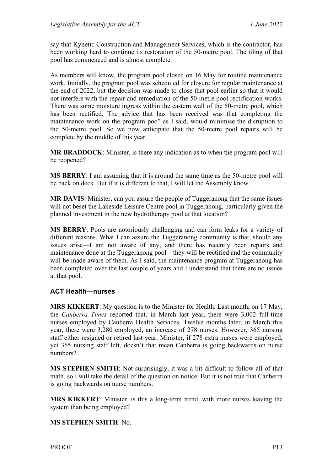say that Kynetic Construction and Management Services, which is the contractor, has been working hard to continue its restoration of the 50-metre pool. The tiling of that pool has commenced and is almost complete.

As members will know, the program pool closed on 16 May for routine maintenance work. Initially, the program pool was scheduled for closure for regular maintenance at the end of 2022, but the decision was made to close that pool earlier so that it would not interfere with the repair and remediation of the 50-metre pool rectification works. There was some moisture ingress within the eastern wall of the 50-metre pool, which has been rectified. The advice that has been received was that completing the maintenance work on the program poo" as I said, would minimise the disruption to the 50-metre pool. So we now anticipate that the 50-metre pool repairs will be complete by the middle of this year.

**MR BRADDOCK**: Minister, is there any indication as to when the program pool will be reopened?

**MS BERRY**: I am assuming that it is around the same time as the 50-metre pool will be back on deck. But if it is different to that, I will let the Assembly know.

**MR DAVIS**: Minister, can you assure the people of Tuggeranong that the same issues will not beset the Lakeside Leisure Centre pool in Tuggeranong, particularly given the planned investment in the new hydrotherapy pool at that location?

**MS BERRY**: Pools are notoriously challenging and can form leaks for a variety of different reasons. What I can assure the Tuggeranong community is that, should any issues arise—I am not aware of any, and there has recently been repairs and maintenance done at the Tuggeranong pool—they will be rectified and the community will be made aware of them. As I said, the maintenance program at Tuggeranong has been completed over the last couple of years and I understand that there are no issues at that pool.

#### <span id="page-14-0"></span>**ACT Health—nurses**

**MRS KIKKERT**: My question is to the Minister for Health. Last month, on 17 May, the *Canberra Times* reported that, in March last year, there were 3,002 full-time nurses employed by Canberra Health Services. Twelve months later, in March this year, there were 3,280 employed, an increase of 278 nurses. However, 365 nursing staff either resigned or retired last year. Minister, if 278 extra nurses were employed, yet 365 nursing staff left, doesn't that mean Canberra is going backwards on nurse numbers?

**MS STEPHEN-SMITH**: Not surprisingly, it was a bit difficult to follow all of that math, so I will take the detail of the question on notice. But it is not true that Canberra is going backwards on nurse numbers.

**MRS KIKKERT**: Minister, is this a long-term trend, with more nurses leaving the system than being employed?

**MS STEPHEN-SMITH**: No.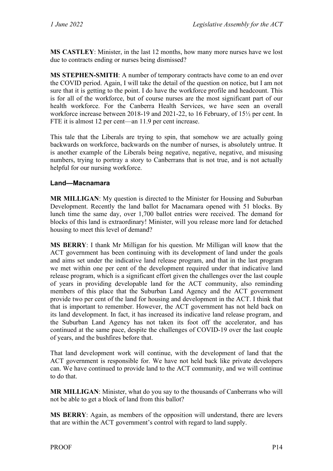**MS CASTLEY**: Minister, in the last 12 months, how many more nurses have we lost due to contracts ending or nurses being dismissed?

**MS STEPHEN-SMITH**: A number of temporary contracts have come to an end over the COVID period. Again, I will take the detail of the question on notice, but I am not sure that it is getting to the point. I do have the workforce profile and headcount. This is for all of the workforce, but of course nurses are the most significant part of our health workforce. For the Canberra Health Services, we have seen an overall workforce increase between 2018-19 and 2021-22, to 16 February, of 15½ per cent. In FTE it is almost 12 per cent—an 11.9 per cent increase.

This tale that the Liberals are trying to spin, that somehow we are actually going backwards on workforce, backwards on the number of nurses, is absolutely untrue. It is another example of the Liberals being negative, negative, negative, and misusing numbers, trying to portray a story to Canberrans that is not true, and is not actually helpful for our nursing workforce.

#### <span id="page-15-0"></span>**Land—Macnamara**

**MR MILLIGAN**: My question is directed to the Minister for Housing and Suburban Development. Recently the land ballot for Macnamara opened with 51 blocks. By lunch time the same day, over 1,700 ballot entries were received. The demand for blocks of this land is extraordinary! Minister, will you release more land for detached housing to meet this level of demand?

**MS BERRY**: I thank Mr Milligan for his question. Mr Milligan will know that the ACT government has been continuing with its development of land under the goals and aims set under the indicative land release program, and that in the last program we met within one per cent of the development required under that indicative land release program, which is a significant effort given the challenges over the last couple of years in providing developable land for the ACT community, also reminding members of this place that the Suburban Land Agency and the ACT government provide two per cent of the land for housing and development in the ACT. I think that that is important to remember. However, the ACT government has not held back on its land development. In fact, it has increased its indicative land release program, and the Suburban Land Agency has not taken its foot off the accelerator, and has continued at the same pace, despite the challenges of COVID-19 over the last couple of years, and the bushfires before that.

That land development work will continue, with the development of land that the ACT government is responsible for. We have not held back like private developers can. We have continued to provide land to the ACT community, and we will continue to do that.

**MR MILLIGAN**: Minister, what do you say to the thousands of Canberrans who will not be able to get a block of land from this ballot?

**MS BERRY**: Again, as members of the opposition will understand, there are levers that are within the ACT government's control with regard to land supply.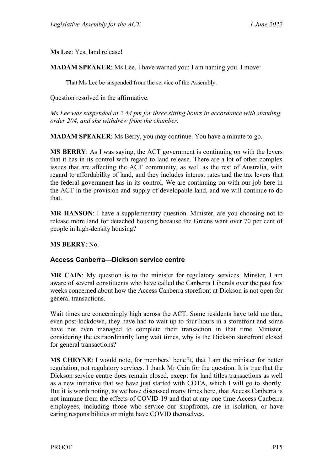**Ms Lee**: Yes, land release!

**MADAM SPEAKER**: Ms Lee, I have warned you; I am naming you. I move:

That Ms Lee be suspended from the service of the Assembly.

Question resolved in the affirmative.

*Ms Lee was suspended at 2.44 pm for three sitting hours in accordance with standing order 204, and she withdrew from the chamber.*

**MADAM SPEAKER**: Ms Berry, you may continue. You have a minute to go.

**MS BERRY**: As I was saying, the ACT government is continuing on with the levers that it has in its control with regard to land release. There are a lot of other complex issues that are affecting the ACT community, as well as the rest of Australia, with regard to affordability of land, and they includes interest rates and the tax levers that the federal government has in its control. We are continuing on with our job here in the ACT in the provision and supply of developable land, and we will continue to do that.

**MR HANSON**: I have a supplementary question. Minister, are you choosing not to release more land for detached housing because the Greens want over 70 per cent of people in high-density housing?

**MS BERRY**: No.

#### <span id="page-16-0"></span>**Access Canberra—Dickson service centre**

**MR CAIN**: My question is to the minister for regulatory services. Minster, I am aware of several constituents who have called the Canberra Liberals over the past few weeks concerned about how the Access Canberra storefront at Dickson is not open for general transactions.

Wait times are concerningly high across the ACT. Some residents have told me that, even post-lockdown, they have had to wait up to four hours in a storefront and some have not even managed to complete their transaction in that time. Minister, considering the extraordinarily long wait times, why is the Dickson storefront closed for general transactions?

**MS CHEYNE**: I would note, for members' benefit, that I am the minister for better regulation, not regulatory services. I thank Mr Cain for the question. It is true that the Dickson service centre does remain closed, except for land titles transactions as well as a new initiative that we have just started with COTA, which I will go to shortly. But it is worth noting, as we have discussed many times here, that Access Canberra is not immune from the effects of COVID-19 and that at any one time Access Canberra employees, including those who service our shopfronts, are in isolation, or have caring responsibilities or might have COVID themselves.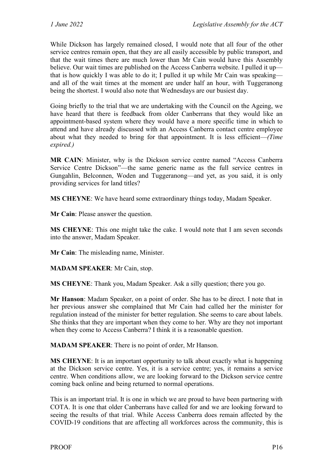While Dickson has largely remained closed, I would note that all four of the other service centres remain open, that they are all easily accessible by public transport, and that the wait times there are much lower than Mr Cain would have this Assembly believe. Our wait times are published on the Access Canberra website. I pulled it up that is how quickly I was able to do it; I pulled it up while Mr Cain was speaking and all of the wait times at the moment are under half an hour, with Tuggeranong being the shortest. I would also note that Wednesdays are our busiest day.

Going briefly to the trial that we are undertaking with the Council on the Ageing, we have heard that there is feedback from older Canberrans that they would like an appointment-based system where they would have a more specific time in which to attend and have already discussed with an Access Canberra contact centre employee about what they needed to bring for that appointment. It is less efficient—*(Time expired.)*

**MR CAIN**: Minister, why is the Dickson service centre named "Access Canberra Service Centre Dickson"—the same generic name as the full service centres in Gungahlin, Belconnen, Woden and Tuggeranong—and yet, as you said, it is only providing services for land titles?

**MS CHEYNE**: We have heard some extraordinary things today, Madam Speaker.

**Mr Cain**: Please answer the question.

**MS CHEYNE**: This one might take the cake. I would note that I am seven seconds into the answer, Madam Speaker.

**Mr Cain**: The misleading name, Minister.

**MADAM SPEAKER**: Mr Cain, stop.

**MS CHEYNE**: Thank you, Madam Speaker. Ask a silly question; there you go.

**Mr Hanson**: Madam Speaker, on a point of order. She has to be direct. I note that in her previous answer she complained that Mr Cain had called her the minister for regulation instead of the minister for better regulation. She seems to care about labels. She thinks that they are important when they come to her. Why are they not important when they come to Access Canberra? I think it is a reasonable question.

**MADAM SPEAKER**: There is no point of order, Mr Hanson.

**MS CHEYNE**: It is an important opportunity to talk about exactly what is happening at the Dickson service centre. Yes, it is a service centre; yes, it remains a service centre. When conditions allow, we are looking forward to the Dickson service centre coming back online and being returned to normal operations.

This is an important trial. It is one in which we are proud to have been partnering with COTA. It is one that older Canberrans have called for and we are looking forward to seeing the results of that trial. While Access Canberra does remain affected by the COVID-19 conditions that are affecting all workforces across the community, this is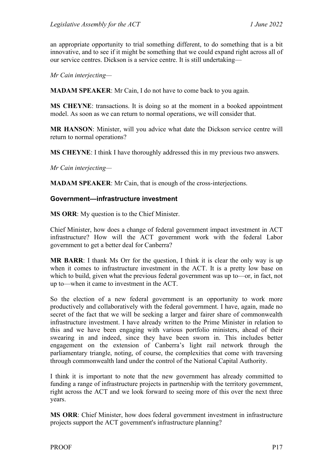an appropriate opportunity to trial something different, to do something that is a bit innovative, and to see if it might be something that we could expand right across all of our service centres. Dickson is a service centre. It is still undertaking—

*Mr Cain interjecting—*

**MADAM SPEAKER**: Mr Cain, I do not have to come back to you again.

**MS CHEYNE**: transactions. It is doing so at the moment in a booked appointment model. As soon as we can return to normal operations, we will consider that.

**MR HANSON**: Minister, will you advice what date the Dickson service centre will return to normal operations?

**MS CHEYNE**: I think I have thoroughly addressed this in my previous two answers.

*Mr Cain interjecting—*

**MADAM SPEAKER**: Mr Cain, that is enough of the cross-interjections.

#### <span id="page-18-0"></span>**Government—infrastructure investment**

**MS ORR**: My question is to the Chief Minister.

Chief Minister, how does a change of federal government impact investment in ACT infrastructure? How will the ACT government work with the federal Labor government to get a better deal for Canberra?

**MR BARR**: I thank Ms Orr for the question, I think it is clear the only way is up when it comes to infrastructure investment in the ACT. It is a pretty low base on which to build, given what the previous federal government was up to—or, in fact, not up to—when it came to investment in the ACT.

So the election of a new federal government is an opportunity to work more productively and collaboratively with the federal government. I have, again, made no secret of the fact that we will be seeking a larger and fairer share of commonwealth infrastructure investment. I have already written to the Prime Minister in relation to this and we have been engaging with various portfolio ministers, ahead of their swearing in and indeed, since they have been sworn in. This includes better engagement on the extension of Canberra's light rail network through the parliamentary triangle, noting, of course, the complexities that come with traversing through commonwealth land under the control of the National Capital Authority.

I think it is important to note that the new government has already committed to funding a range of infrastructure projects in partnership with the territory government, right across the ACT and we look forward to seeing more of this over the next three years.

**MS ORR**: Chief Minister, how does federal government investment in infrastructure projects support the ACT government's infrastructure planning?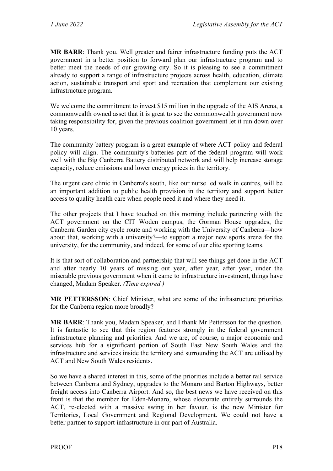**MR BARR**: Thank you. Well greater and fairer infrastructure funding puts the ACT government in a better position to forward plan our infrastructure program and to better meet the needs of our growing city. So it is pleasing to see a commitment already to support a range of infrastructure projects across health, education, climate action, sustainable transport and sport and recreation that complement our existing infrastructure program.

We welcome the commitment to invest \$15 million in the upgrade of the AIS Arena, a commonwealth owned asset that it is great to see the commonwealth government now taking responsibility for, given the previous coalition government let it run down over 10 years.

The community battery program is a great example of where ACT policy and federal policy will align. The community's batteries part of the federal program will work well with the Big Canberra Battery distributed network and will help increase storage capacity, reduce emissions and lower energy prices in the territory.

The urgent care clinic in Canberra's south, like our nurse led walk in centres, will be an important addition to public health provision in the territory and support better access to quality health care when people need it and where they need it.

The other projects that I have touched on this morning include partnering with the ACT government on the CIT Woden campus, the Gorman House upgrades, the Canberra Garden city cycle route and working with the University of Canberra—how about that, working with a university?—to support a major new sports arena for the university, for the community, and indeed, for some of our elite sporting teams.

It is that sort of collaboration and partnership that will see things get done in the ACT and after nearly 10 years of missing out year, after year, after year, under the miserable previous government when it came to infrastructure investment, things have changed, Madam Speaker. *(Time expired.)*

**MR PETTERSSON**: Chief Minister, what are some of the infrastructure priorities for the Canberra region more broadly?

**MR BARR**: Thank you, Madam Speaker, and I thank Mr Pettersson for the question. It is fantastic to see that this region features strongly in the federal government infrastructure planning and priorities. And we are, of course, a major economic and services hub for a significant portion of South East New South Wales and the infrastructure and services inside the territory and surrounding the ACT are utilised by ACT and New South Wales residents.

So we have a shared interest in this, some of the priorities include a better rail service between Canberra and Sydney, upgrades to the Monaro and Barton Highways, better freight access into Canberra Airport. And so, the best news we have received on this front is that the member for Eden-Monaro, whose electorate entirely surrounds the ACT, re-elected with a massive swing in her favour, is the new Minister for Territories, Local Government and Regional Development. We could not have a better partner to support infrastructure in our part of Australia.